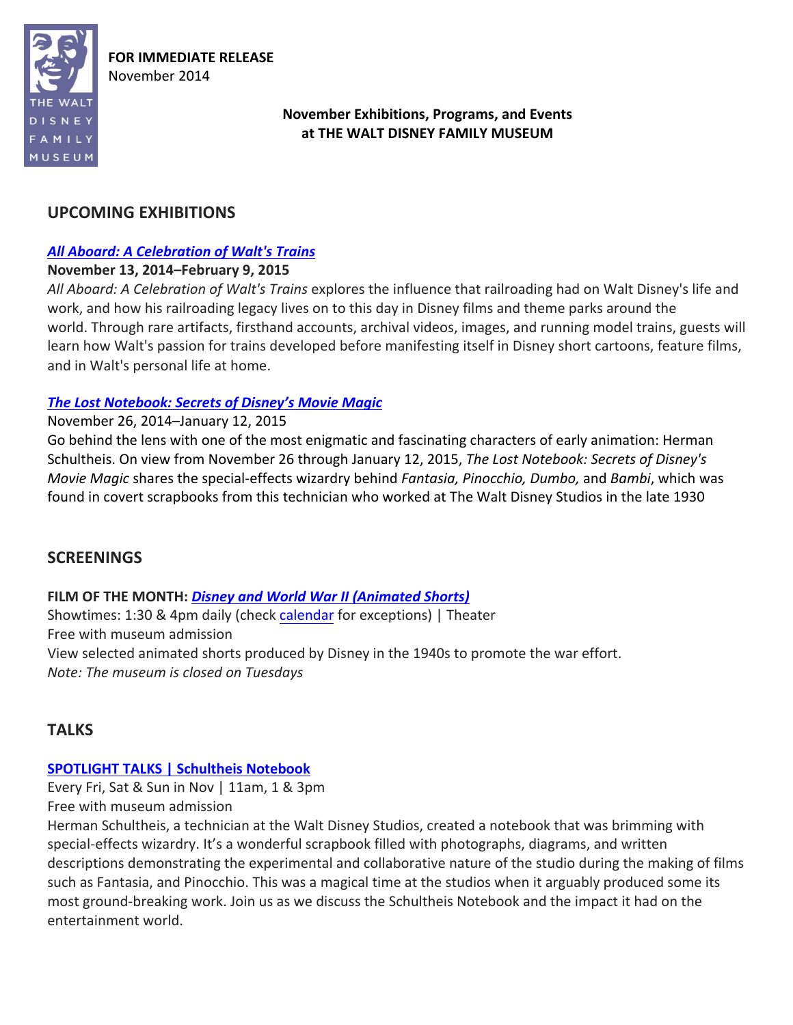

**FOR IMMEDIATE RELEASE** November 2014

# **November Exhibitions, Programs, and Events** at THE WALT DISNEY FAMILY MUSEUM

# **UPCOMING EXHIBITIONS**

# *All Aboard: A Celebration of Walt's Trains*

### **November 13, 2014–February 9, 2015**

All Aboard: A Celebration of Walt's Trains explores the influence that railroading had on Walt Disney's life and work, and how his railroading legacy lives on to this day in Disney films and theme parks around the world. Through rare artifacts, firsthand accounts, archival videos, images, and running model trains, guests will learn how Walt's passion for trains developed before manifesting itself in Disney short cartoons, feature films, and in Walt's personal life at home.

### **The Lost Notebook: Secrets of Disney's Movie Magic**

### November 26, 2014–January 12, 2015

Go behind the lens with one of the most enigmatic and fascinating characters of early animation: Herman Schultheis. On view from November 26 through January 12, 2015, *The Lost Notebook: Secrets of Disney's Movie Magic* shares the special-effects wizardry behind *Fantasia, Pinocchio, Dumbo,* and *Bambi*, which was found in covert scrapbooks from this technician who worked at The Walt Disney Studios in the late 1930

# **SCREENINGS**

# **FILM** OF THE MONTH: *Disney and World War II (Animated Shorts)*

Showtimes: 1:30 & 4pm daily (check calendar for exceptions) | Theater Free with museum admission View selected animated shorts produced by Disney in the 1940s to promote the war effort. *Note: The museum is closed on Tuesdays*

# **TALKS**

# **SPOTLIGHT TALKS | Schultheis Notebook**

Every Fri, Sat & Sun in Nov  $|$  11am, 1 & 3pm Free with museum admission

Herman Schultheis, a technician at the Walt Disney Studios, created a notebook that was brimming with special-effects wizardry. It's a wonderful scrapbook filled with photographs, diagrams, and written descriptions demonstrating the experimental and collaborative nature of the studio during the making of films such as Fantasia, and Pinocchio. This was a magical time at the studios when it arguably produced some its most ground-breaking work. Join us as we discuss the Schultheis Notebook and the impact it had on the entertainment world.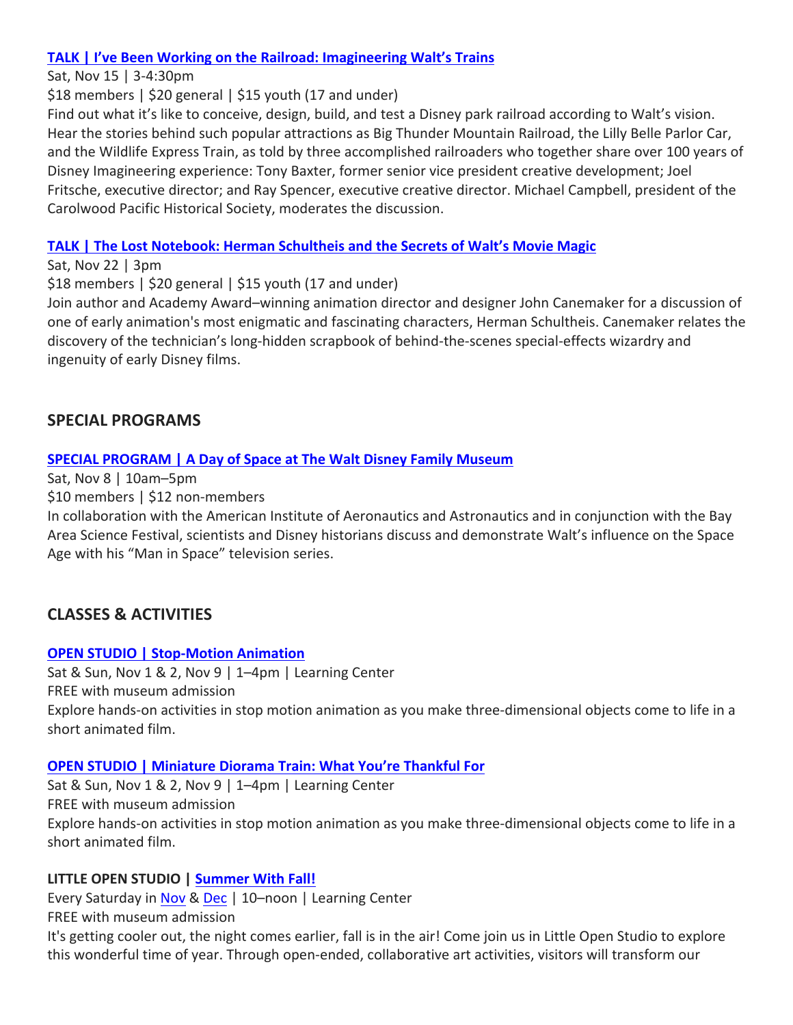### **TALK | I've Been Working on the Railroad: Imagineering Walt's Trains**

Sat, Nov 15 | 3-4:30pm

 $$18$  members  $\frac{20}{20}$  general  $\frac{1}{25}$  youth (17 and under)

Find out what it's like to conceive, design, build, and test a Disney park railroad according to Walt's vision. Hear the stories behind such popular attractions as Big Thunder Mountain Railroad, the Lilly Belle Parlor Car, and the Wildlife Express Train, as told by three accomplished railroaders who together share over 100 years of Disney Imagineering experience: Tony Baxter, former senior vice president creative development; Joel Fritsche, executive director; and Ray Spencer, executive creative director. Michael Campbell, president of the Carolwood Pacific Historical Society, moderates the discussion.

### **TALK** | The Lost Notebook: Herman Schultheis and the Secrets of Walt's Movie Magic

Sat, Nov 22  $|$  3pm

 $$18$  members  $\frac{20}{20}$  general  $\frac{1}{25}$  youth (17 and under)

Join author and Academy Award–winning animation director and designer John Canemaker for a discussion of one of early animation's most enigmatic and fascinating characters, Herman Schultheis. Canemaker relates the discovery of the technician's long-hidden scrapbook of behind-the-scenes special-effects wizardry and ingenuity of early Disney films.

# **SPECIAL PROGRAMS**

### **SPECIAL PROGRAM | A Day of Space at The Walt Disney Family Museum**

Sat, Nov  $8 \mid 10$ am–5pm

\$10 members | \$12 non-members

In collaboration with the American Institute of Aeronautics and Astronautics and in conjunction with the Bay Area Science Festival, scientists and Disney historians discuss and demonstrate Walt's influence on the Space Age with his "Man in Space" television series.

# **CLASSES & ACTIVITIES**

#### **OPEN STUDIO | Stop-Motion Animation**

Sat & Sun, Nov  $1$  & 2, Nov  $9 \mid 1-4$ pm | Learning Center FREE with museum admission Explore hands-on activities in stop motion animation as you make three-dimensional objects come to life in a short animated film.

#### **OPEN STUDIO | Miniature Diorama Train: What You're Thankful For**

Sat & Sun, Nov  $1$  & 2, Nov  $9$  | 1–4pm | Learning Center FREE with museum admission Explore hands-on activities in stop motion animation as you make three-dimensional objects come to life in a short animated film.

#### **LITTLE OPEN STUDIO | Summer With Fall!**

Every Saturday in Nov & Dec | 10-noon | Learning Center

FREE with museum admission It's getting cooler out, the night comes earlier, fall is in the air! Come join us in Little Open Studio to explore this wonderful time of year. Through open-ended, collaborative art activities, visitors will transform our